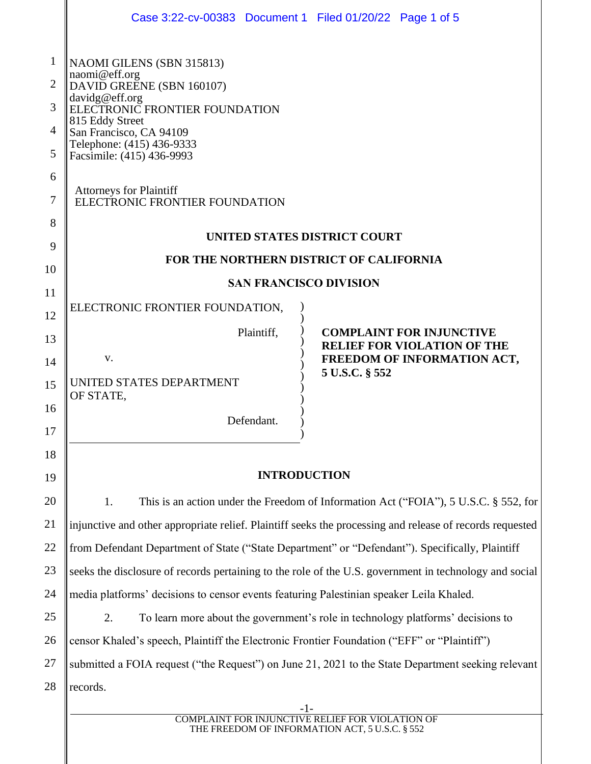|                | Case 3:22-cv-00383 Document 1 Filed 01/20/22 Page 1 of 5                                                                                   |      |  |  |  |  |  |
|----------------|--------------------------------------------------------------------------------------------------------------------------------------------|------|--|--|--|--|--|
| 1              | NAOMI GILENS (SBN 315813)                                                                                                                  |      |  |  |  |  |  |
| $\overline{2}$ | naomi@eff.org<br>DAVID GREENE (SBN 160107)<br>davidg@eff.org<br>ELECTRONIC FRONTIER FOUNDATION                                             |      |  |  |  |  |  |
| 3              |                                                                                                                                            |      |  |  |  |  |  |
| 4              | 815 Eddy Street<br>San Francisco, CA 94109                                                                                                 |      |  |  |  |  |  |
| 5              | Telephone: (415) 436-9333<br>Facsimile: (415) 436-9993                                                                                     |      |  |  |  |  |  |
| 6              |                                                                                                                                            |      |  |  |  |  |  |
| 7              | <b>Attorneys for Plaintiff</b><br>ELECTRONIC FRONTIER FOUNDATION                                                                           |      |  |  |  |  |  |
| 8              |                                                                                                                                            |      |  |  |  |  |  |
| 9              | UNITED STATES DISTRICT COURT                                                                                                               |      |  |  |  |  |  |
| 10             | FOR THE NORTHERN DISTRICT OF CALIFORNIA                                                                                                    |      |  |  |  |  |  |
| 11             | <b>SAN FRANCISCO DIVISION</b>                                                                                                              |      |  |  |  |  |  |
| 12             | ELECTRONIC FRONTIER FOUNDATION,                                                                                                            |      |  |  |  |  |  |
| 13             | Plaintiff,<br><b>COMPLAINT FOR INJUNCTIVE</b><br><b>RELIEF FOR VIOLATION OF THE</b><br>V.<br>FREEDOM OF INFORMATION ACT,<br>5 U.S.C. § 552 |      |  |  |  |  |  |
| 14             |                                                                                                                                            |      |  |  |  |  |  |
| 15             | UNITED STATES DEPARTMENT<br>OF STATE,<br>Defendant.                                                                                        |      |  |  |  |  |  |
| 16             |                                                                                                                                            |      |  |  |  |  |  |
| 17             |                                                                                                                                            |      |  |  |  |  |  |
| 18             |                                                                                                                                            |      |  |  |  |  |  |
| 19             | <b>INTRODUCTION</b>                                                                                                                        |      |  |  |  |  |  |
| 20             | This is an action under the Freedom of Information Act ("FOIA"), 5 U.S.C. § 552, for<br>1.                                                 |      |  |  |  |  |  |
| 21             | injunctive and other appropriate relief. Plaintiff seeks the processing and release of records requested                                   |      |  |  |  |  |  |
| 22             | from Defendant Department of State ("State Department" or "Defendant"). Specifically, Plaintiff                                            |      |  |  |  |  |  |
| 23             | seeks the disclosure of records pertaining to the role of the U.S. government in technology and social                                     |      |  |  |  |  |  |
| 24             | media platforms' decisions to censor events featuring Palestinian speaker Leila Khaled.                                                    |      |  |  |  |  |  |
| 25             | 2.<br>To learn more about the government's role in technology platforms' decisions to                                                      |      |  |  |  |  |  |
| 26             | censor Khaled's speech, Plaintiff the Electronic Frontier Foundation ("EFF" or "Plaintiff")                                                |      |  |  |  |  |  |
| 27             | submitted a FOIA request ("the Request") on June 21, 2021 to the State Department seeking relevant                                         |      |  |  |  |  |  |
| 28             | records.                                                                                                                                   |      |  |  |  |  |  |
|                | COMPL<br>AINT FOR INILINCTIVE REI<br>THE EREEDOM OF INFORMATION ACT 5 U S                                                                  | N OF |  |  |  |  |  |

THE FREEDOM OF INFORMATION ACT, 5 U.S.C. § 552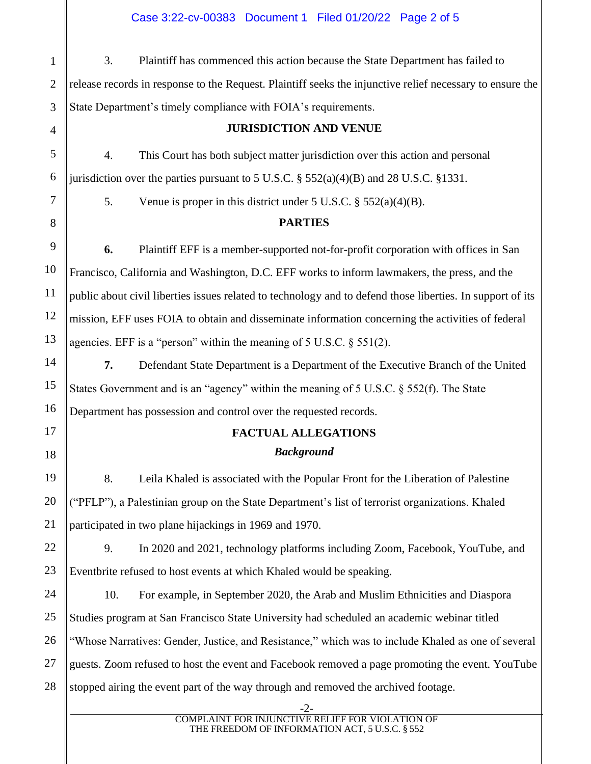║

║

| $\mathbf{1}$   | 3.<br>Plaintiff has commenced this action because the State Department has failed to                       |
|----------------|------------------------------------------------------------------------------------------------------------|
| $\overline{2}$ | release records in response to the Request. Plaintiff seeks the injunctive relief necessary to ensure the  |
| 3              | State Department's timely compliance with FOIA's requirements.                                             |
| $\overline{4}$ | <b>JURISDICTION AND VENUE</b>                                                                              |
| 5              | This Court has both subject matter jurisdiction over this action and personal<br>$\overline{4}$ .          |
| 6              | jurisdiction over the parties pursuant to 5 U.S.C. $\S$ 552(a)(4)(B) and 28 U.S.C. $\S$ 1331.              |
| $\overline{7}$ | 5.<br>Venue is proper in this district under 5 U.S.C. $\S 552(a)(4)(B)$ .                                  |
| 8              | <b>PARTIES</b>                                                                                             |
| 9              | 6.<br>Plaintiff EFF is a member-supported not-for-profit corporation with offices in San                   |
| 10             | Francisco, California and Washington, D.C. EFF works to inform lawmakers, the press, and the               |
| 11             | public about civil liberties issues related to technology and to defend those liberties. In support of its |
| 12             | mission, EFF uses FOIA to obtain and disseminate information concerning the activities of federal          |
| 13             | agencies. EFF is a "person" within the meaning of $5$ U.S.C. $\S$ $551(2)$ .                               |
| 14             | 7.<br>Defendant State Department is a Department of the Executive Branch of the United                     |
| 15             | States Government and is an "agency" within the meaning of $5$ U.S.C. § $552(f)$ . The State               |
| 16             | Department has possession and control over the requested records.                                          |
| 17             | <b>FACTUAL ALLEGATIONS</b>                                                                                 |
| 18             | <b>Background</b>                                                                                          |
| 19             | 8.<br>Leila Khaled is associated with the Popular Front for the Liberation of Palestine                    |
| 20             | ("PFLP"), a Palestinian group on the State Department's list of terrorist organizations. Khaled            |
| 21             | participated in two plane hijackings in 1969 and 1970.                                                     |
| 22             | 9.<br>In 2020 and 2021, technology platforms including Zoom, Facebook, YouTube, and                        |
| 23             | Eventbrite refused to host events at which Khaled would be speaking.                                       |
| 24             | 10.<br>For example, in September 2020, the Arab and Muslim Ethnicities and Diaspora                        |
| 25             | Studies program at San Francisco State University had scheduled an academic webinar titled                 |
| 26             | "Whose Narratives: Gender, Justice, and Resistance," which was to include Khaled as one of several         |
| 27             | guests. Zoom refused to host the event and Facebook removed a page promoting the event. YouTube            |
| 28             | stopped airing the event part of the way through and removed the archived footage.                         |
|                | $-2-$                                                                                                      |
|                | <b>COMPLAINT FOR INJUNCTIVE RELIEF FOR VIOLATION OF</b><br>THE FREEDOM OF INFORMATION ACT, 5 U.S.C. § 552  |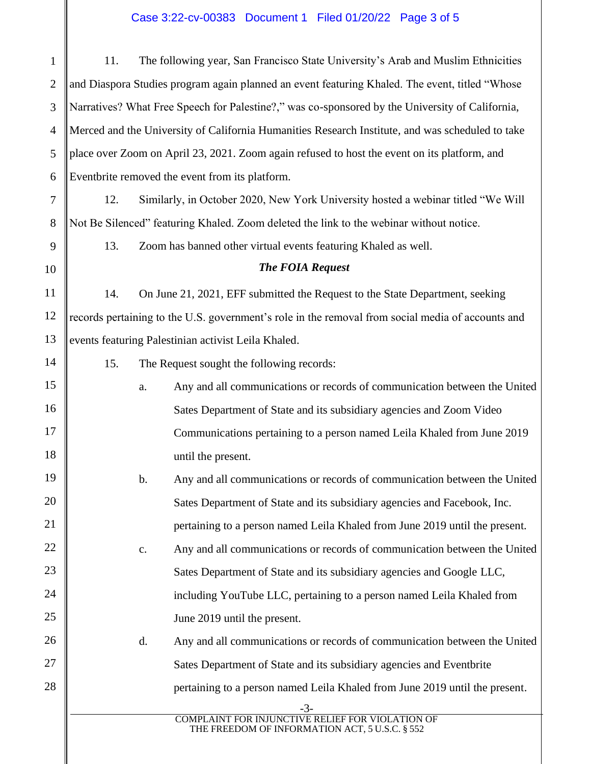## Case 3:22-cv-00383 Document 1 Filed 01/20/22 Page 3 of 5

| $\mathbf{1}$   | 11.                                                                                              |                                                                                              | The following year, San Francisco State University's Arab and Muslim Ethnicities                  |  |  |
|----------------|--------------------------------------------------------------------------------------------------|----------------------------------------------------------------------------------------------|---------------------------------------------------------------------------------------------------|--|--|
| $\mathfrak{2}$ |                                                                                                  |                                                                                              | and Diaspora Studies program again planned an event featuring Khaled. The event, titled "Whose    |  |  |
| 3              | Narratives? What Free Speech for Palestine?," was co-sponsored by the University of California,  |                                                                                              |                                                                                                   |  |  |
| $\overline{4}$ | Merced and the University of California Humanities Research Institute, and was scheduled to take |                                                                                              |                                                                                                   |  |  |
| 5              |                                                                                                  | place over Zoom on April 23, 2021. Zoom again refused to host the event on its platform, and |                                                                                                   |  |  |
| 6              | Eventbrite removed the event from its platform.                                                  |                                                                                              |                                                                                                   |  |  |
| $\tau$         | 12.                                                                                              |                                                                                              | Similarly, in October 2020, New York University hosted a webinar titled "We Will                  |  |  |
| 8              | Not Be Silenced" featuring Khaled. Zoom deleted the link to the webinar without notice.          |                                                                                              |                                                                                                   |  |  |
| 9              | 13.                                                                                              |                                                                                              | Zoom has banned other virtual events featuring Khaled as well.                                    |  |  |
| 10             |                                                                                                  |                                                                                              | <b>The FOIA Request</b>                                                                           |  |  |
| 11             | 14.                                                                                              |                                                                                              | On June 21, 2021, EFF submitted the Request to the State Department, seeking                      |  |  |
| 12             |                                                                                                  |                                                                                              | records pertaining to the U.S. government's role in the removal from social media of accounts and |  |  |
| 13             | events featuring Palestinian activist Leila Khaled.                                              |                                                                                              |                                                                                                   |  |  |
| 14             | 15.                                                                                              |                                                                                              | The Request sought the following records:                                                         |  |  |
| 15             |                                                                                                  | a.                                                                                           | Any and all communications or records of communication between the United                         |  |  |
| 16             |                                                                                                  |                                                                                              | Sates Department of State and its subsidiary agencies and Zoom Video                              |  |  |
| 17             |                                                                                                  |                                                                                              | Communications pertaining to a person named Leila Khaled from June 2019                           |  |  |
| 18             |                                                                                                  |                                                                                              | until the present.                                                                                |  |  |
| 19             |                                                                                                  | b.                                                                                           | Any and all communications or records of communication between the United                         |  |  |
| 20             |                                                                                                  |                                                                                              | Sates Department of State and its subsidiary agencies and Facebook, Inc.                          |  |  |
| 21             |                                                                                                  |                                                                                              | pertaining to a person named Leila Khaled from June 2019 until the present.                       |  |  |
| 22             |                                                                                                  | c.                                                                                           | Any and all communications or records of communication between the United                         |  |  |
| 23             |                                                                                                  |                                                                                              | Sates Department of State and its subsidiary agencies and Google LLC,                             |  |  |
| 24             |                                                                                                  |                                                                                              | including YouTube LLC, pertaining to a person named Leila Khaled from                             |  |  |
| 25             |                                                                                                  |                                                                                              | June 2019 until the present.                                                                      |  |  |
| 26             |                                                                                                  | d.                                                                                           | Any and all communications or records of communication between the United                         |  |  |
| 27             |                                                                                                  |                                                                                              | Sates Department of State and its subsidiary agencies and Eventbrite                              |  |  |
| 28             |                                                                                                  |                                                                                              | pertaining to a person named Leila Khaled from June 2019 until the present.                       |  |  |
|                |                                                                                                  |                                                                                              | -3-<br><b>COMPLAINT FOR INJUNCTIVE RELIEF FOR VIOLATION OF</b>                                    |  |  |
|                |                                                                                                  |                                                                                              | THE FREEDOM OF INFORMATION ACT, 5 U.S.C. § 552                                                    |  |  |
|                |                                                                                                  |                                                                                              |                                                                                                   |  |  |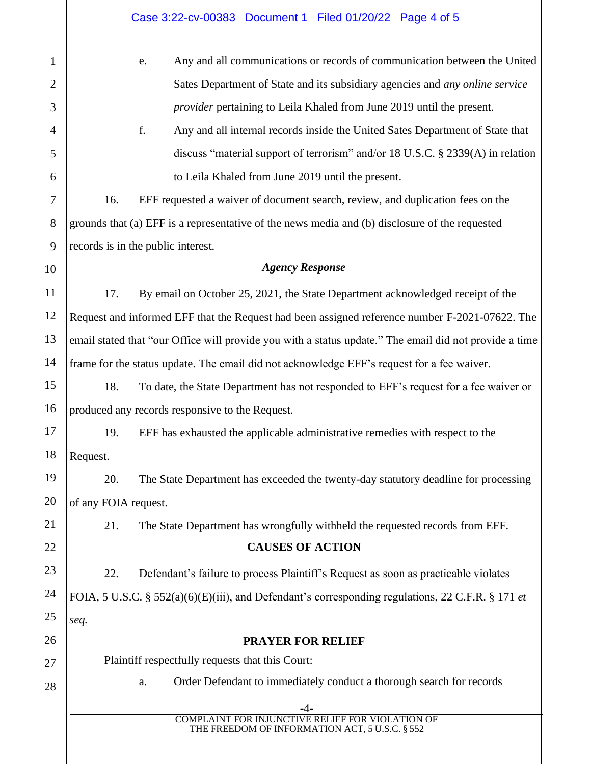|                | Case 3:22-cv-00383 Document 1 Filed 01/20/22 Page 4 of 5                                               |  |  |  |  |
|----------------|--------------------------------------------------------------------------------------------------------|--|--|--|--|
| $\mathbf{1}$   | Any and all communications or records of communication between the United<br>e.                        |  |  |  |  |
| $\overline{2}$ | Sates Department of State and its subsidiary agencies and <i>any online service</i>                    |  |  |  |  |
| 3              | <i>provider</i> pertaining to Leila Khaled from June 2019 until the present.                           |  |  |  |  |
| $\overline{4}$ | f.<br>Any and all internal records inside the United Sates Department of State that                    |  |  |  |  |
| 5              | discuss "material support of terrorism" and/or 18 U.S.C. § 2339(A) in relation                         |  |  |  |  |
| 6              | to Leila Khaled from June 2019 until the present.                                                      |  |  |  |  |
| $\tau$         | 16.<br>EFF requested a waiver of document search, review, and duplication fees on the                  |  |  |  |  |
| 8              | grounds that (a) EFF is a representative of the news media and (b) disclosure of the requested         |  |  |  |  |
| 9              | records is in the public interest.                                                                     |  |  |  |  |
| 10             | <b>Agency Response</b>                                                                                 |  |  |  |  |
| 11             | By email on October 25, 2021, the State Department acknowledged receipt of the<br>17.                  |  |  |  |  |
| 12             | Request and informed EFF that the Request had been assigned reference number F-2021-07622. The         |  |  |  |  |
| 13             | email stated that "our Office will provide you with a status update." The email did not provide a time |  |  |  |  |
| 14             | frame for the status update. The email did not acknowledge EFF's request for a fee waiver.             |  |  |  |  |
| 15             | 18.<br>To date, the State Department has not responded to EFF's request for a fee waiver or            |  |  |  |  |
| 16             | produced any records responsive to the Request.                                                        |  |  |  |  |
| 17             | 19. EFF has exhausted the applicable administrative remedies with respect to the                       |  |  |  |  |
| 18             | Request.                                                                                               |  |  |  |  |
| 19             | The State Department has exceeded the twenty-day statutory deadline for processing<br>20.              |  |  |  |  |
| 20             | of any FOIA request.                                                                                   |  |  |  |  |
| 21             | 21.<br>The State Department has wrongfully withheld the requested records from EFF.                    |  |  |  |  |
| 22             | <b>CAUSES OF ACTION</b>                                                                                |  |  |  |  |
| 23             | 22.<br>Defendant's failure to process Plaintiff's Request as soon as practicable violates              |  |  |  |  |
| 24             | FOIA, 5 U.S.C. § 552(a)(6)(E)(iii), and Defendant's corresponding regulations, 22 C.F.R. § 171 et      |  |  |  |  |
| 25             | seq.                                                                                                   |  |  |  |  |
| 26             | <b>PRAYER FOR RELIEF</b>                                                                               |  |  |  |  |
| 27             | Plaintiff respectfully requests that this Court:                                                       |  |  |  |  |
| 28             | Order Defendant to immediately conduct a thorough search for records<br>a.                             |  |  |  |  |
|                | FOR INJUNCTIVE RELIEF FOR VIOL<br><b>ATION OF</b><br>THE FREEDOM OF INFORMATION ACT, 5 U.S.C. § 552    |  |  |  |  |